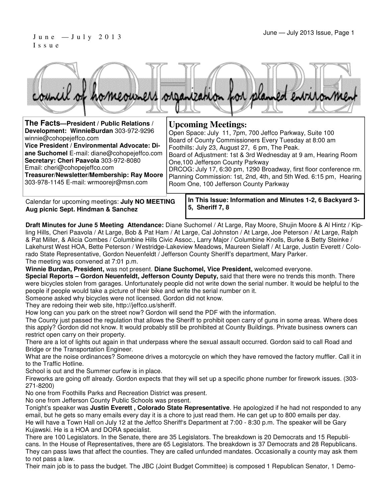#### June — July 2013 Issue, Page 1 J u n e — J u l y 2 0 1 3 I s s u e



| The Facts-President / Public Relations /     | <b>Upcoming Meetings:</b>                                          |
|----------------------------------------------|--------------------------------------------------------------------|
| Development: WinnieBurdan 303-972-9296       | Open Space: July 11, 7pm, 700 Jeffco Parkway, Suite 100            |
| winnie@cohopejeffco.com                      | Board of County Commissioners Every Tuesday at 8:00 am             |
| Vice President / Environmental Advocate: Di- | Foothills: July 23, August 27, 6 pm, The Peak.                     |
| ane Suchomel E-mail: diane@cohopejeffco.com  | Board of Adjustment: 1st & 3rd Wednesday at 9 am, Hearing Room     |
| Secretary: Cheri Paavola 303-972-8080        | One, 100 Jefferson County Parkway                                  |
| Email: cheri@cohopejeffco.com                | DRCOG: July 17, 6:30 pm, 1290 Broadway, first floor conference rm. |
| Treasurer/Newsletter/Membership: Ray Moore   | Planning Commission: 1st, 2nd, 4th, and 5th Wed. 6:15 pm, Hearing  |
| 303-978-1145 E-mail: wrmoorejr@msn.com       | Room One, 100 Jefferson County Parkway                             |

Calendar for upcoming meetings: **July NO MEETING Aug picnic Sept. Hindman & Sanchez** 

**In This Issue: Information and Minutes 1-2, 6 Backyard 3- 5, Sheriff 7, 8** 

**Draft Minutes for June 5 Meeting Attendance:** Diane Suchomel / At Large, Ray Moore, Shujin Moore & Al Hintz / Kipling Hills, Cheri Paavola / At Large, Bob & Pat Ham / At Large, Cal Johnston / At Large, Joe Peterson / At Large, Ralph & Pat Miller, & Alicia Combes / Columbine Hills Civic Assoc., Larry Major / Columbine Knolls, Burke & Betty Steinke / Lakehurst West HOA, Bette Peterson / Westridge-Lakeview Meadows, Maureen Sielaff / At Large, Justin Everett / Colorado State Representative, Gordon Neuenfeldt / Jefferson County Sheriff's department, Mary Parker. The meeting was convened at 7:01 p.m.

**Winnie Burdan, President,** was not present. **Diane Suchomel, Vice President,** welcomed everyone.

**Special Reports – Gordon Neuenfeldt, Jefferson County Deputy,** said that there were no trends this month. There were bicycles stolen from garages. Unfortunately people did not write down the serial number. It would be helpful to the people if people would take a picture of their bike and write the serial number on it.

Someone asked why bicycles were not licensed. Gordon did not know.

They are redoing their web site, http://jeffco.us/sheriff.

How long can you park on the street now? Gordon will send the PDF with the information.

The County just passed the regulation that allows the Sheriff to prohibit open carry of guns in some areas. Where does this apply? Gordon did not know. It would probably still be prohibited at County Buildings. Private business owners can restrict open carry on their property.

There are a lot of lights out again in that underpass where the sexual assault occurred. Gordon said to call Road and Bridge or the Transportation Engineer.

What are the noise ordinances? Someone drives a motorcycle on which they have removed the factory muffler. Call it in to the Traffic Hotline.

School is out and the Summer curfew is in place.

Fireworks are going off already. Gordon expects that they will set up a specific phone number for firework issues. (303- 271-8200)

No one from Foothills Parks and Recreation District was present.

No one from Jefferson County Public Schools was present.

Tonight's speaker was **Justin Everett , Colorado State Representative**. He apologized if he had not responded to any email, but he gets so many emails every day it is a chore to just read them. He can get up to 800 emails per day. He will have a Town Hall on July 12 at the Jeffco Sheriff's Department at 7:00 - 8:30 p.m. The speaker will be Gary Kujawski. He is a HOA and DORA specialist.

There are 100 Legislators. In the Senate, there are 35 Legislators. The breakdown is 20 Democrats and 15 Republicans. In the House of Representatives, there are 65 Legislators. The breakdown is 37 Democrats and 28 Republicans. They can pass laws that affect the counties. They are called unfunded mandates. Occasionally a county may ask them to not pass a law.

Their main job is to pass the budget. The JBC (Joint Budget Committee) is composed 1 Republican Senator, 1 Demo-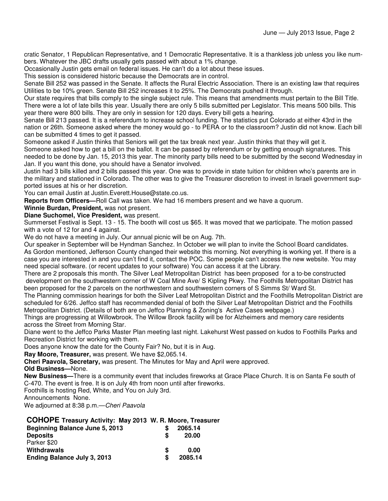cratic Senator, 1 Republican Representative, and 1 Democratic Representative. It is a thankless job unless you like numbers. Whatever the JBC drafts usually gets passed with about a 1% change.

Occasionally Justin gets email on federal issues. He can't do a lot about these issues.

This session is considered historic because the Democrats are in control.

Senate Bill 252 was passed in the Senate. It affects the Rural Electric Association. There is an existing law that requires Utilities to be 10% green. Senate Bill 252 increases it to 25%. The Democrats pushed it through.

Our state requires that bills comply to the single subject rule. This means that amendments must pertain to the Bill Title. There were a lot of late bills this year. Usually there are only 5 bills submitted per Legislator. This means 500 bills. This year there were 800 bills. They are only in session for 120 days. Every bill gets a hearing.

Senate Bill 213 passed. It is a referendum to increase school funding. The statistics put Colorado at either 43rd in the nation or 26th. Someone asked where the money would go - to PERA or to the classroom? Justin did not know. Each bill can be submitted 4 times to get it passed.

Someone asked if Justin thinks that Seniors will get the tax break next year. Justin thinks that they will get it. Someone asked how to get a bill on the ballot. It can be passed by referendum or by getting enough signatures. This needed to be done by Jan. 15, 2013 this year. The minority party bills need to be submitted by the second Wednesday in Jan. If you want this done, you should have a Senator involved.

Justin had 3 bills killed and 2 bills passed this year. One was to provide in state tuition for children who's parents are in the military and stationed in Colorado. The other was to give the Treasurer discretion to invest in Israeli government supported issues at his or her discretion.

You can email Justin at Justin.Everett.House@state.co.us.

**Reports from Officers—**Roll Call was taken. We had 16 members present and we have a quorum.

**Winnie Burdan, President,** was not present.

**Diane Suchomel, Vice President,** was present.

Summerset Festival is Sept. 13 - 15. The booth will cost us \$65. It was moved that we participate. The motion passed with a vote of 12 for and 4 against.

We do not have a meeting in July. Our annual picnic will be on Aug. 7th.

Our speaker in September will be Hyndman Sanchez. In October we will plan to invite the School Board candidates. As Gordon mentioned, Jefferson County changed their website this morning. Not everything is working yet. If there is a case you are interested in and you can't find it, contact the POC. Some people can't access the new website. You may need special software. (or recent updates to your software) You can access it at the Library.

There are 2 proposals this month. The Silver Leaf Metropolitan District has been proposed for a to-be constructed development on the southwestern corner of W Coal Mine Ave/ S Kipling Pkwy. The Foothills Metropolitan District has been proposed for the 2 parcels on the northwestern and southwestern corners of S Simms St/ Ward St.

The Planning commission hearings for both the Silver Leaf Metropolitan District and the Foothills Metropolitan District are scheduled for 6/26. Jeffco staff has recommended denial of both the Silver Leaf Metropolitan District and the Foothills Metropolitan District. (Details of both are on Jeffco Planning & Zoning's Active Cases webpage.)

Things are progressing at Willowbrook. The Willow Brook facility will be for Alzheimers and memory care residents across the Street from Morning Star.

Diane went to the Jeffco Parks Master Plan meeting last night. Lakehurst West passed on kudos to Foothills Parks and Recreation District for working with them.

Does anyone know the date for the County Fair? No, but it is in Aug.

**Ray Moore, Treasurer,** was present. We have \$2,065.14.

**Cheri Paavola, Secretary,** was present. The Minutes for May and April were approved.

**Old Business—**None.

**New Business—**There is a community event that includes fireworks at Grace Place Church. It is on Santa Fe south of C-470. The event is free. It is on July 4th from noon until after fireworks.

Foothills is hosting Red, White, and You on July 3rd.

Announcements None.

We adjourned at 8:38 p.m. - Cheri Paavola

#### **COHOPE Treasury Activity: May 2013 W. R. Moore, Treasurer**

|   | 2065.14 |
|---|---------|
| S | 20.00   |
|   |         |
| S | 0.00    |
| S | 2085.14 |
|   |         |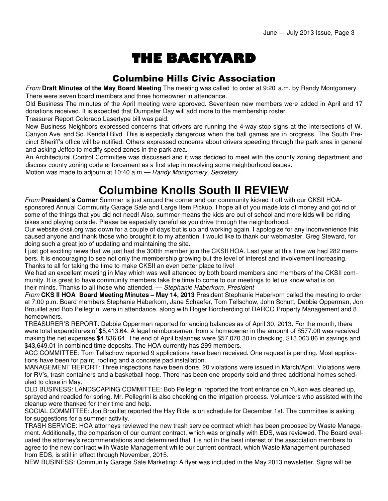# THE BACKYARD

#### Columbine Hills Civic Association

From **Draft Minutes of the May Board Meeting** The meeting was called to order at 9:20 a.m. by Randy Montgomery. There were seven board members and three homeowner in attendance.

Old Business The minutes of the April meeting were approved. Seventeen new members were added in April and 17 donations received. It is expected that Dumpster Day will add more to the membership roster.

Treasurer Report Colorado Lasertype bill was paid.

New Business Neighbors expressed concerns that drivers are running the 4-way stop signs at the intersections of W. Canyon Ave. and So. Kendall Blvd. This is especially dangerous when the ball games are in progress. The South Precinct Sheriff's office will be notified. Others expressed concerns about drivers speeding through the park area in general and asking Jeffco to modify speed zones in the park area.

An Architectural Control Committee was discussed and it was decided to meet with the county zoning department and discuss county zoning code enforcement as a first step in resolving some neighborhood issues.

Motion was made to adjourn at 10:40 a.m.— Randy Montgomery, Secretary

## **Columbine Knolls South II REVIEW**

From **President's Corner** Summer is just around the corner and our community kicked it off with our CKSII HOAsponsored Annual Community Garage Sale and Large Item Pickup. I hope all of you made lots of money and got rid of some of the things that you did not need! Also, summer means the kids are out of school and more kids will be riding bikes and playing outside. Please be especially careful as you drive through the neighborhood.

Our website cksii.org was down for a couple of days but is up and working again. I apologize for any inconvenience this caused anyone and thank those who brought it to my attention. I would like to thank our webmaster, Greg Steward, for doing such a great job of updating and maintaining the site.

I just got exciting news that we just had the 300th member join the CKSII HOA. Last year at this time we had 282 members. It is encouraging to see not only the membership growing but the level of interest and involvement increasing. Thanks to all for taking the time to make CKSII an even better place to live!

We had an excellent meeting in May which was well attended by both board members and members of the CKSII community. It is great to have community members take the time to come to our meetings to let us know what is on their minds. Thanks to all those who attended. - Stephanie Haberkorn, President

From **CKS II HOA Board Meeting Minutes – May 14, 2013** President Stephanie Haberkorn called the meeting to order at 7:00 p.m. Board members Stephanie Haberkorn, Jane Schaefer, Tom Tellschow, John Schutt, Debbie Opperman, Jon Brouillet and Bob Pellegrini were in attendance, along with Roger Borcherding of DARCO Property Management and 8 homeowners.

TREASURER'S REPORT: Debbie Opperman reported for ending balances as of April 30, 2013. For the month, there were total expenditures of \$5,413.64. A legal reimbursement from a homeowner in the amount of \$577.00 was received making the net expenses \$4,836.64. The end of April balances were \$57,070.30 in checking, \$13,063.86 in savings and \$43,649.01 in combined time deposits. The HOA currently has 299 members.

ACC COMMITTEE: Tom Tellschow reported 9 applications have been received. One request is pending. Most applications have been for paint, roofing and a concrete pad installation.

MANAGEMENT REPORT: Three inspections have been done. 20 violations were issued in March/April. Violations were for RV's, trash containers and a basketball hoop. There has been one property sold and three additional homes scheduled to close in May.

OLD BUSINESS: LANDSCAPING COMMITTEE: Bob Pellegrini reported the front entrance on Yukon was cleaned up, sprayed and readied for spring. Mr. Pellegrini is also checking on the irrigation process. Volunteers who assisted with the cleanup were thanked for their time and help.

SOCIAL COMMITTEE: Jon Brouillet reported the Hay Ride is on schedule for December 1st. The committee is asking for suggestions for a summer activity.

TRASH SERVICE: HOA attorneys reviewed the new trash service contract which has been proposed by Waste Management. Additionally, the comparison of our current contract, which was originally with EDS, was reviewed. The Board evaluated the attorney's recommendations and determined that it is not in the best interest of the association members to agree to the new contract with Waste Management while our current contract, which Waste Management purchased from EDS, is still in effect through November, 2015.

NEW BUSINESS: Community Garage Sale Marketing: A flyer was included in the May 2013 newsletter. Signs will be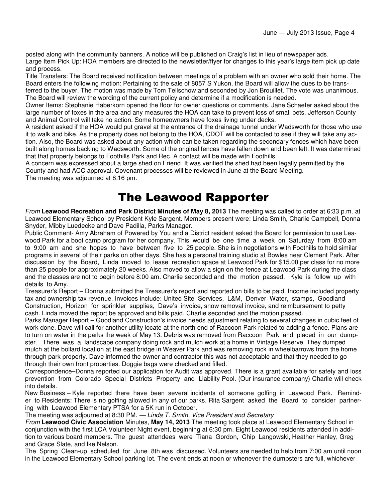posted along with the community banners. A notice will be published on Craig's list in lieu of newspaper ads. Large Item Pick Up: HOA members are directed to the newsletter/flyer for changes to this year's large item pick up date and process.

Title Transfers: The Board received notification between meetings of a problem with an owner who sold their home. The Board enters the following motion: Pertaining to the sale of 8057 S Yukon, the Board will allow the dues to be transferred to the buyer. The motion was made by Tom Tellschow and seconded by Jon Brouillet. The vote was unanimous. The Board will review the wording of the current policy and determine if a modification is needed.

Owner Items: Stephanie Haberkorn opened the floor for owner questions or comments. Jane Schaefer asked about the large number of foxes in the area and any measures the HOA can take to prevent loss of small pets. Jefferson County and Animal Control will take no action. Some homeowners have foxes living under decks.

A resident asked if the HOA would put gravel at the entrance of the drainage tunnel under Wadsworth for those who use it to walk and bike. As the property does not belong to the HOA, CDOT will be contacted to see if they will take any action. Also, the Board was asked about any action which can be taken regarding the secondary fences which have been built along homes backing to Wadsworth. Some of the original fences have fallen down and been left. It was determined that that property belongs to Foothills Park and Rec. A contact will be made with Foothills.

A concern was expressed about a large shed on Friend. It was verified the shed had been legally permitted by the County and had ACC approval. Covenant processes will be reviewed in June at the Board Meeting. The meeting was adjourned at 8:16 pm.

### The Leawood Rapporter

From **Leawood Recreation and Park District Minutes of May 8, 2013** The meeting was called to order at 6:33 p.m. at Leawood Elementary School by President Kyle Sargent. Members present were: Linda Smith, Charlie Campbell, Donna Snyder, Mibby Luedecke and Dave Padilla, Parks Manager.

Public Comment- Amy Abraham of Powered by You and a District resident asked the Board for permission to use Leawood Park for a boot camp program for her company. This would be one time a week on Saturday from 8:00 am to 9:00 am and she hopes to have between five to 25 people. She is in negotiations with Foothills to hold similar programs in several of their parks on other days. She has a personal training studio at Bowles near Clement Park. After discussion by the Board, Linda moved to lease recreation space at Leawood Park for \$15.00 per class for no more than 25 people for approximately 20 weeks. Also moved to allow a sign on the fence at Leawood Park during the class and the classes are not to begin before 8:00 am. Charlie seconded and the motion passed. Kyle is follow up with details to Amy.

Treasurer's Report – Donna submitted the Treasurer's report and reported on bills to be paid. Income included property tax and ownership tax revenue. Invoices include: United Site Services, L&M, Denver Water, stamps, Goodland Construction, Horizon for sprinkler supplies, Dave's invoice, snow removal invoice, and reimbursement to petty cash. Linda moved the report be approved and bills paid. Charlie seconded and the motion passed.

Parks Manager Report – Goodland Construction's invoice needs adjustment relating to several changes in cubic feet of work done. Dave will call for another utility locate at the north end of Raccoon Park related to adding a fence. Plans are to turn on water in the parks the week of May 13. Debris was removed from Raccoon Park and placed in our dumpster. There was a landscape company doing rock and mulch work at a home in Vintage Reserve. They dumped mulch at the bollard location at the east bridge in Weaver Park and was removing rock in wheelbarrows from the home through park property. Dave informed the owner and contractor this was not acceptable and that they needed to go through their own front properties. Doggie bags were checked and filled.

Correspondence–Donna reported our application for Audit was approved. There is a grant available for safety and loss prevention from Colorado Special Districts Property and Liability Pool. (Our insurance company) Charlie will check into details.

New Business – Kyle reported there have been several incidents of someone golfing in Leawood Park. Reminder to Residents: There is no golfing allowed in any of our parks. Rita Sargent asked the Board to consider partnering with Leawood Elementary PTSA for a 5K run in October.

The meeting was adjourned at 8:30 PM. — Linda T. Smith, Vice President and Secretary

From **Leawood Civic Association** Minutes, **May 14, 2013** The meeting took place at Leawood Elementary School in conjunction with the first LCA Volunteer Night event, beginning at 6:30 pm. Eight Leawood residents attended in addition to various board members. The guest attendees were Tiana Gordon, Chip Langowski, Heather Hanley, Greg and Grace Slate, and Ike Nelson.

The Spring Clean-up scheduled for June 8th was discussed. Volunteers are needed to help from 7:00 am until noon in the Leawood Elementary School parking lot. The event ends at noon or whenever the dumpsters are full, whichever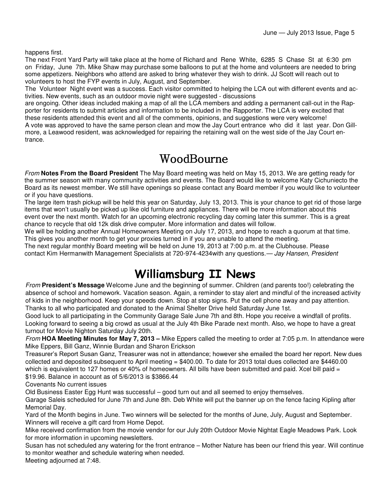happens first.

The next Front Yard Party will take place at the home of Richard and Rene White, 6285 S Chase St at 6:30 pm on Friday, June 7th. Mike Shaw may purchase some balloons to put at the home and volunteers are needed to bring some appetizers. Neighbors who attend are asked to bring whatever they wish to drink. JJ Scott will reach out to volunteers to host the FYP events in July, August, and September.

The Volunteer Night event was a success. Each visitor committed to helping the LCA out with different events and activities. New events, such as an outdoor movie night were suggested - discussions

are ongoing. Other ideas included making a map of all the LCA members and adding a permanent call-out in the Rapporter for residents to submit articles and information to be included in the Rapporter. The LCA is very excited that these residents attended this event and all of the comments, opinions, and suggestions were very welcome! A vote was approved to have the same person clean and mow the Jay Court entrance who did it last year. Don Gillmore, a Leawood resident, was acknowledged for repairing the retaining wall on the west side of the Jay Court entrance.

#### WoodBourne

From **Notes From the Board President** The May Board meeting was held on May 15, 2013. We are getting ready for the summer season with many community activities and events. The Board would like to welcome Katy Cichuniecto the Board as its newest member. We still have openings so please contact any Board member if you would like to volunteer or if you have questions.

The large item trash pickup will be held this year on Saturday, July 13, 2013. This is your chance to get rid of those large items that won't usually be picked up like old furniture and appliances. There will be more information about this event over the next month. Watch for an upcoming electronic recycling day coming later this summer. This is a great chance to recycle that old 12k disk drive computer. More information and dates will follow.

We will be holding another Annual Homeowners Meeting on July 17, 2013, and hope to reach a quorum at that time. This gives you another month to get your proxies turned in if you are unable to attend the meeting.

The next regular monthly Board meeting will be held on June 19, 2013 at 7:00 p.m. at the Clubhouse. Please contact Kim Hermanwith Management Specialists at 720-974-4234with any questions.— Jay Hansen, President

## Williamsburg II News

From **President's Message** Welcome June and the beginning of summer. Children (and parents too!) celebrating the absence of school and homework. Vacation season. Again, a reminder to stay alert and mindful of the increased activity of kids in the neighborhood. Keep your speeds down. Stop at stop signs. Put the cell phone away and pay attention. Thanks to all who participated and donated to the Animal Shelter Drive held Saturday June 1st.

Good luck to all participating in the Community Garage Sale June 7th and 8th. Hope you receive a windfall of profits. Looking forward to seeing a big crowd as usual at the July 4th Bike Parade next month. Also, we hope to have a great turnout for Movie Nighton Saturday July 20th.

From **HOA Meeting Minutes for May 7, 2013 –** Mike Eppers called the meeting to order at 7:05 p.m. In attendance were Mike Eppers, Bill Ganz, Winnie Burdan and Sharon Erickson

Treasurer's Report Susan Ganz, Treasurer was not in attendance; however she emailed the board her report. New dues collected and deposited subsequent to April meeting = \$400.00. To date for 2013 total dues collected are \$4460.00 which is equivalent to 127 homes or 40% of homeowners. All bills have been submitted and paid. Xcel bill paid = \$19.96. Balance in account as of 5/6/2013 is \$3866.44

Covenants No current issues

Old Business Easter Egg Hunt was successful – good turn out and all seemed to enjoy themselves.

Garage Saleis scheduled for June 7th and June 8th. Deb White will put the banner up on the fence facing Kipling after Memorial Day.

Yard of the Month begins in June. Two winners will be selected for the months of June, July, August and September. Winners will receive a gift card from Home Depot.

Mike received confirmation from the movie vendor for our July 20th Outdoor Movie Nightat Eagle Meadows Park. Look for more information in upcoming newsletters.

Susan has not scheduled any watering for the front entrance – Mother Nature has been our friend this year. Will continue to monitor weather and schedule watering when needed.

Meeting adjourned at 7:48.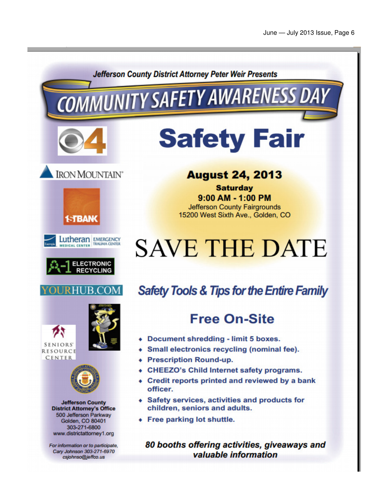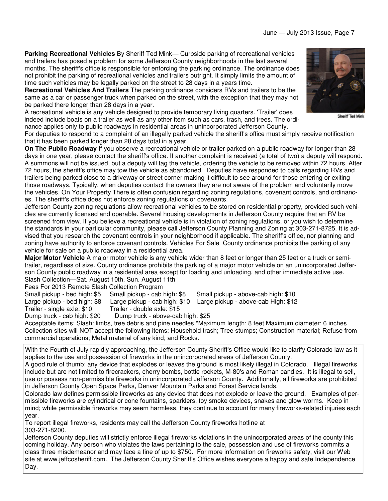**Parking Recreational Vehicles** By Sheriff Ted Mink— Curbside parking of recreational vehicles and trailers has posed a problem for some Jefferson County neighborhoods in the last several months. The sheriff's office is responsible for enforcing the parking ordinance. The ordinance does not prohibit the parking of recreational vehicles and trailers outright. It simply limits the amount of time such vehicles may be legally parked on the street to 28 days in a years time.

**Recreational Vehicles And Trailers** The parking ordinance considers RVs and trailers to be the same as a car or passenger truck when parked on the street, with the exception that they may not be parked there longer than 28 days in a year.

A recreational vehicle is any vehicle designed to provide temporary living quarters. 'Trailer' does indeed include boats on a trailer as well as any other item such as cars, trash, and trees. The ordinance applies only to public roadways in residential areas in unincorporated Jefferson County.



**Sheriff Ted Mink** 

For deputies to respond to a complaint of an illegally parked vehicle the sheriff's office must simply receive notification that it has been parked longer than 28 days total in a year.

**On The Public Roadway** If you observe a recreational vehicle or trailer parked on a public roadway for longer than 28 days in one year, please contact the sheriff's office. If another complaint is received (a total of two) a deputy will respond. A summons will not be issued, but a deputy will tag the vehicle, ordering the vehicle to be removed within 72 hours. After 72 hours, the sheriff's office may tow the vehicle as abandoned. Deputies have responded to calls regarding RVs and trailers being parked close to a driveway or street corner making it difficult to see around for those entering or exiting those roadways. Typically, when deputies contact the owners they are not aware of the problem and voluntarily move the vehicles. On Your Property There is often confusion regarding zoning regulations, covenant controls, and ordinances. The sheriff's office does not enforce zoning regulations or covenants.

Jefferson County zoning regulations allow recreational vehicles to be stored on residential property, provided such vehicles are currently licensed and operable. Several housing developments in Jefferson County require that an RV be screened from view. If you believe a recreational vehicle is in violation of zoning regulations, or you wish to determine the standards in your particular community, please call Jefferson County Planning and Zoning at 303-271-8725. It is advised that you research the covenant controls in your neighborhood if applicable. The sheriff's office, nor planning and zoning have authority to enforce covenant controls. Vehicles For Sale County ordinance prohibits the parking of any vehicle for sale on a public roadway in a residential area.

**Major Motor Vehicle** A major motor vehicle is any vehicle wider than 8 feet or longer than 25 feet or a truck or semitrailer, regardless of size. County ordinance prohibits the parking of a major motor vehicle on an unincorporated Jefferson County public roadway in a residential area except for loading and unloading, and other immediate active use. Slash Collection—Sat. August 10th, Sun. August 11th

Fees For 2013 Remote Slash Collection Program

Small pickup - bed high: \$5 Small pickup - cab high: \$8 Small pickup - above-cab high: \$10

Large pickup - bed high: \$8 Large pickup - cab high: \$10 Large pickup - above-cab High: \$12

Trailer - single axle: \$10 Trailer - double axle: \$15

Dump truck - cab high: \$20 Dump truck - above-cab high: \$25

Acceptable items: Slash: limbs, tree debris and pine needles \*Maximum length: 8 feet Maximum diameter: 6 inches Collection sites will NOT accept the following items: Household trash; Tree stumps; Construction material; Refuse from commercial operations; Metal material of any kind; and Rocks.

With the Fourth of July rapidly approaching, the Jefferson County Sheriff's Office would like to clarify Colorado law as it applies to the use and possession of fireworks in the unincorporated areas of Jefferson County.

A good rule of thumb: any device that explodes or leaves the ground is most likely illegal in Colorado. Illegal fireworks include but are not limited to firecrackers, cherry bombs, bottle rockets, M-80's and Roman candles. It is illegal to sell, use or possess non-permissible fireworks in unincorporated Jefferson County. Additionally, all fireworks are prohibited in Jefferson County Open Space Parks, Denver Mountain Parks and Forest Service lands.

Colorado law defines permissible fireworks as any device that does not explode or leave the ground. Examples of permissible fireworks are cylindrical or cone fountains, sparklers, toy smoke devices, snakes and glow worms. Keep in mind; while permissible fireworks may seem harmless, they continue to account for many fireworks-related injuries each year.

To report illegal fireworks, residents may call the Jefferson County fireworks hotline at 303-271-8200.

Jefferson County deputies will strictly enforce illegal fireworks violations in the unincorporated areas of the county this coming holiday. Any person who violates the laws pertaining to the sale, possession and use of fireworks commits a class three misdemeanor and may face a fine of up to \$750. For more information on fireworks safety, visit our Web site at www.jeffcosheriff.com. The Jefferson County Sheriff's Office wishes everyone a happy and safe Independence Day.